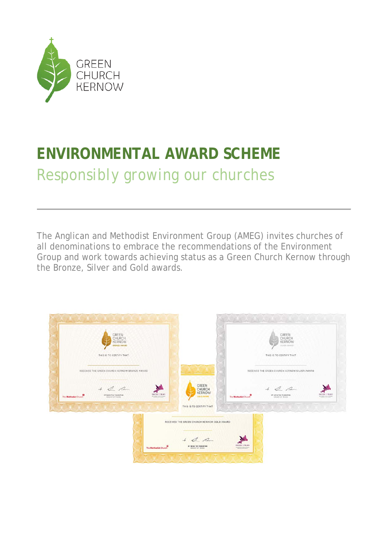

# **ENVIRONMENTAL AWARD SCHEME** *Responsibly growing our churches*

The Anglican and Methodist Environment Group (AMEG) invites churches of all denominations to embrace the recommendations of the Environment Group and work towards achieving status as a Green Church Kernow through the Bronze, Silver and Gold awards.

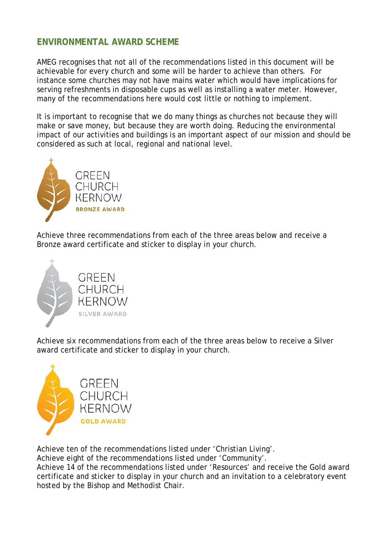## **ENVIRONMENTAL AWARD SCHEME**

AMEG recognises that not all of the recommendations listed in this document will be achievable for every church and some will be harder to achieve than others. For instance some churches may not have mains water which would have implications for serving refreshments in disposable cups as well as installing a water meter. However, many of the recommendations here would cost little or nothing to implement.

It is important to recognise that we do many things as churches not because they will make or save money, but because they are worth doing. Reducing the environmental impact of our activities and buildings is an important aspect of our mission and should be considered as such at local, regional and national level.



Achieve three recommendations from each of the three areas below and receive a Bronze award certificate and sticker to display in your church.



**GREEN** CHURCH **KERNOW** SILVER AWARD

Achieve six recommendations from each of the three areas below to receive a Silver award certificate and sticker to display in your church.



Achieve ten of the recommendations listed under 'Christian Living'.

Achieve eight of the recommendations listed under 'Community'.

Achieve 14 of the recommendations listed under 'Resources' and receive the Gold award certificate and sticker to display in your church and an invitation to a celebratory event hosted by the Bishop and Methodist Chair.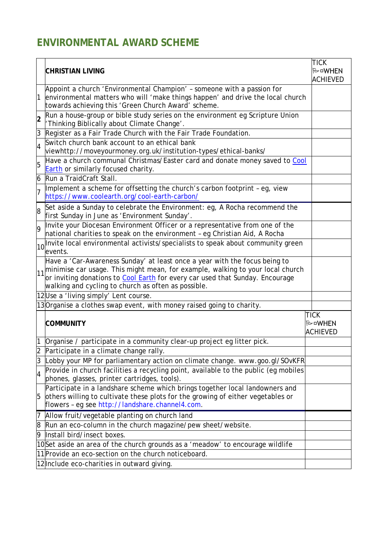## **ENVIRONMENTAL AWARD SCHEME**

|                | <b>CHRISTIAN LIVING</b>                                                                                                                                                                                                                                                                                                    | <b>TICK</b><br><b>ि⊡WHEN</b>               |
|----------------|----------------------------------------------------------------------------------------------------------------------------------------------------------------------------------------------------------------------------------------------------------------------------------------------------------------------------|--------------------------------------------|
|                |                                                                                                                                                                                                                                                                                                                            | <b>ACHIEVED</b>                            |
|                | Appoint a church 'Environmental Champion' - someone with a passion for<br>environmental matters who will 'make things happen' and drive the local church<br>towards achieving this 'Green Church Award' scheme.                                                                                                            |                                            |
| $\overline{2}$ | Run a house-group or bible study series on the environment eg Scripture Union<br>'Thinking Biblically about Climate Change'.                                                                                                                                                                                               |                                            |
| 3              | Register as a Fair Trade Church with the Fair Trade Foundation.                                                                                                                                                                                                                                                            |                                            |
| $\overline{4}$ | Switch church bank account to an ethical bank<br>/viewhttp://moveyourmoney.org.uk/institution-types/ethical-banks/                                                                                                                                                                                                         |                                            |
| 5              | Have a church communal Christmas/Easter card and donate money saved to Cool<br>Earth or similarly focused charity.                                                                                                                                                                                                         |                                            |
| 6              | Run a TraidCraft Stall.                                                                                                                                                                                                                                                                                                    |                                            |
| 7              | Implement a scheme for offsetting the church's carbon footprint - eq, view<br>https://www.coolearth.org/cool-earth-carbon/                                                                                                                                                                                                 |                                            |
| 8              | Set aside a Sunday to celebrate the Environment: eg, A Rocha recommend the<br>first Sunday in June as 'Environment Sunday'.                                                                                                                                                                                                |                                            |
| <b>q</b>       | Invite your Diocesan Environment Officer or a representative from one of the<br>national charities to speak on the environment - eg Christian Aid, A Rocha                                                                                                                                                                 |                                            |
|                | 10 Invite local environmental activists/specialists to speak about community green<br>events.                                                                                                                                                                                                                              |                                            |
|                | Have a 'Car-Awareness Sunday' at least once a year with the focus being to<br>$\vert$ <sub>11</sub> minimise car usage. This might mean, for example, walking to your local church<br>or inviting donations to Cool Earth for every car used that Sunday. Encourage<br>walking and cycling to church as often as possible. |                                            |
|                | 12Use a 'living simply' Lent course.                                                                                                                                                                                                                                                                                       |                                            |
|                | 13 Organise a clothes swap event, with money raised going to charity.                                                                                                                                                                                                                                                      |                                            |
|                | <b>COMMUNITY</b>                                                                                                                                                                                                                                                                                                           | <b>TICK</b><br>P □ WHEN<br><b>ACHIEVED</b> |
|                | Organise / participate in a community clear-up project eg litter pick.                                                                                                                                                                                                                                                     |                                            |
|                | Participate in a climate change rally.                                                                                                                                                                                                                                                                                     |                                            |
| 3              | Lobby your MP for parliamentary action on climate change. www.goo.gl/SOvKFR                                                                                                                                                                                                                                                |                                            |
| 4              | Provide in church facilities a recycling point, available to the public (eg mobiles<br>phones, glasses, printer cartridges, tools).                                                                                                                                                                                        |                                            |
| 5              | Participate in a landshare scheme which brings together local landowners and<br>others willing to cultivate these plots for the growing of either vegetables or<br>flowers - eg see http://landshare.channel4.com.                                                                                                         |                                            |
|                | Allow fruit/vegetable planting on church land                                                                                                                                                                                                                                                                              |                                            |
| 8              | Run an eco-column in the church magazine/pew sheet/website.                                                                                                                                                                                                                                                                |                                            |
| 9              | Install bird/insect boxes.                                                                                                                                                                                                                                                                                                 |                                            |
|                | 10Set aside an area of the church grounds as a 'meadow' to encourage wildlife                                                                                                                                                                                                                                              |                                            |
|                | 11 Provide an eco-section on the church noticeboard.                                                                                                                                                                                                                                                                       |                                            |
|                | 12 Include eco-charities in outward giving.                                                                                                                                                                                                                                                                                |                                            |